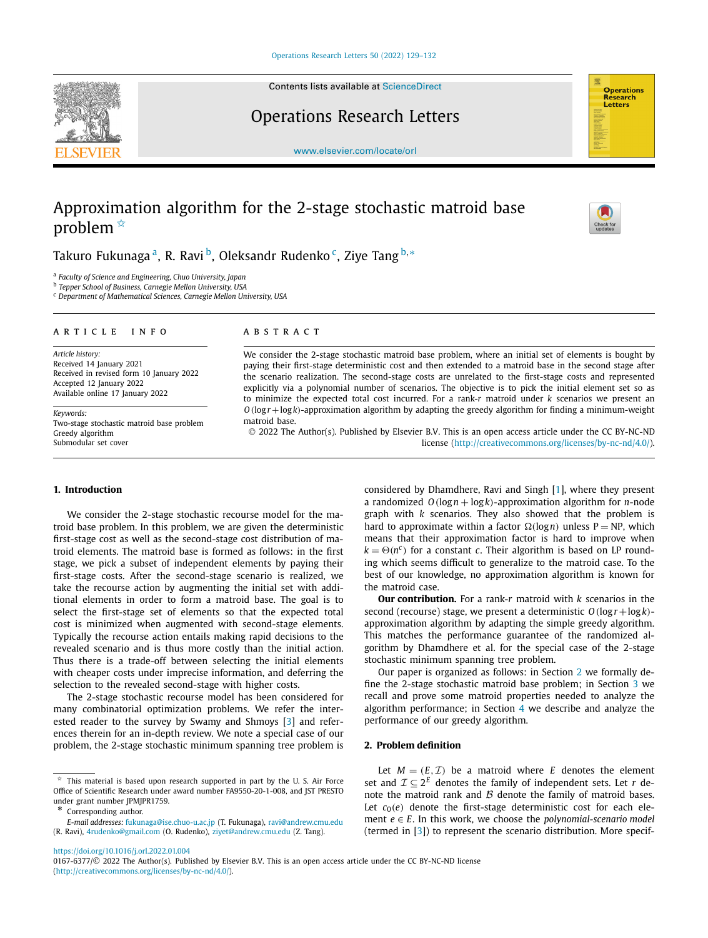

Contents lists available at [ScienceDirect](http://www.ScienceDirect.com/)

Operations Research Letters



[www.elsevier.com/locate/orl](http://www.elsevier.com/locate/orl)

# Approximation algorithm for the 2-stage stochastic matroid base problem  $*$



Takuro Fukunaga<sup>a</sup>, R. Ravi<sup>b</sup>, Oleksandr Rudenko<sup>c</sup>, Ziye Tang<sup>b,∗</sup>

<sup>a</sup> *Faculty of Science and Engineering, Chuo University, Japan*

<sup>b</sup> *Tepper School of Business, Carnegie Mellon University, USA*

<sup>c</sup> *Department of Mathematical Sciences, Carnegie Mellon University, USA*

#### A R T I C L E I N F O A B S T R A C T

*Article history:* Received 14 January 2021 Received in revised form 10 January 2022 Accepted 12 January 2022 Available online 17 January 2022

*Keywords:* Two-stage stochastic matroid base problem Greedy algorithm Submodular set cover

We consider the 2-stage stochastic matroid base problem, where an initial set of elements is bought by paying their first-stage deterministic cost and then extended to a matroid base in the second stage after the scenario realization. The second-stage costs are unrelated to the first-stage costs and represented explicitly via a polynomial number of scenarios. The objective is to pick the initial element set so as to minimize the expected total cost incurred. For a rank-*r* matroid under *k* scenarios we present an *O(*log *r* +log*k)*-approximation algorithm by adapting the greedy algorithm for finding a minimum-weight matroid base.

© 2022 The Author(s). Published by Elsevier B.V. This is an open access article under the CC BY-NC-ND license [\(http://creativecommons.org/licenses/by-nc-nd/4.0/](http://creativecommons.org/licenses/by-nc-nd/4.0/)).

#### **1. Introduction**

We consider the 2-stage stochastic recourse model for the matroid base problem. In this problem, we are given the deterministic first-stage cost as well as the second-stage cost distribution of matroid elements. The matroid base is formed as follows: in the first stage, we pick a subset of independent elements by paying their first-stage costs. After the second-stage scenario is realized, we take the recourse action by augmenting the initial set with additional elements in order to form a matroid base. The goal is to select the first-stage set of elements so that the expected total cost is minimized when augmented with second-stage elements. Typically the recourse action entails making rapid decisions to the revealed scenario and is thus more costly than the initial action. Thus there is a trade-off between selecting the initial elements with cheaper costs under imprecise information, and deferring the selection to the revealed second-stage with higher costs.

The 2-stage stochastic recourse model has been considered for many combinatorial optimization problems. We refer the interested reader to the survey by Swamy and Shmoys [\[3\]](#page-3-0) and references therein for an in-depth review. We note a special case of our problem, the 2-stage stochastic minimum spanning tree problem is considered by Dhamdhere, Ravi and Singh [[1\]](#page-3-0), where they present a randomized *O(*log*n* + log*k)*-approximation algorithm for *n*-node graph with *k* scenarios. They also showed that the problem is hard to approximate within a factor  $\Omega(\log n)$  unless P = NP, which means that their approximation factor is hard to improve when  $k = \Theta(n^c)$  for a constant *c*. Their algorithm is based on LP rounding which seems difficult to generalize to the matroid case. To the best of our knowledge, no approximation algorithm is known for the matroid case.

**Our contribution.** For a rank-*r* matroid with *k* scenarios in the second (recourse) stage, we present a deterministic *O(*log *r*+log*k)* approximation algorithm by adapting the simple greedy algorithm. This matches the performance guarantee of the randomized algorithm by Dhamdhere et al. for the special case of the 2-stage stochastic minimum spanning tree problem.

Our paper is organized as follows: in Section 2 we formally define the 2-stage stochastic matroid base problem; in Section [3](#page-1-0) we recall and prove some matroid properties needed to analyze the algorithm performance; in Section [4](#page-2-0) we describe and analyze the performance of our greedy algorithm.

### **2. Problem definition**

Let  $M = (E, \mathcal{I})$  be a matroid where *E* denotes the element set and  $\mathcal{I} \subseteq 2^E$  denotes the family of independent sets. Let *r* denote the matroid rank and  $\beta$  denote the family of matroid bases. Let  $c_0(e)$  denote the first-stage deterministic cost for each element  $e \in E$ . In this work, we choose the *polynomial-scenario* model (termed in [\[3\]](#page-3-0)) to represent the scenario distribution. More specif-

 $*$  This material is based upon research supported in part by the U. S. Air Force Office of Scientific Research under award number FA9550-20-1-008, and JST PRESTO under grant number JPMJPR1759.

Corresponding author.

*E-mail addresses:* [fukunaga@ise.chuo-u.ac.jp](mailto:fukunaga@ise.chuo-u.ac.jp) (T. Fukunaga), [ravi@andrew.cmu.edu](mailto:ravi@andrew.cmu.edu) (R. Ravi), [4rudenko@gmail.com](mailto:4rudenko@gmail.com) (O. Rudenko), [ziyet@andrew.cmu.edu](mailto:ziyet@andrew.cmu.edu) (Z. Tang).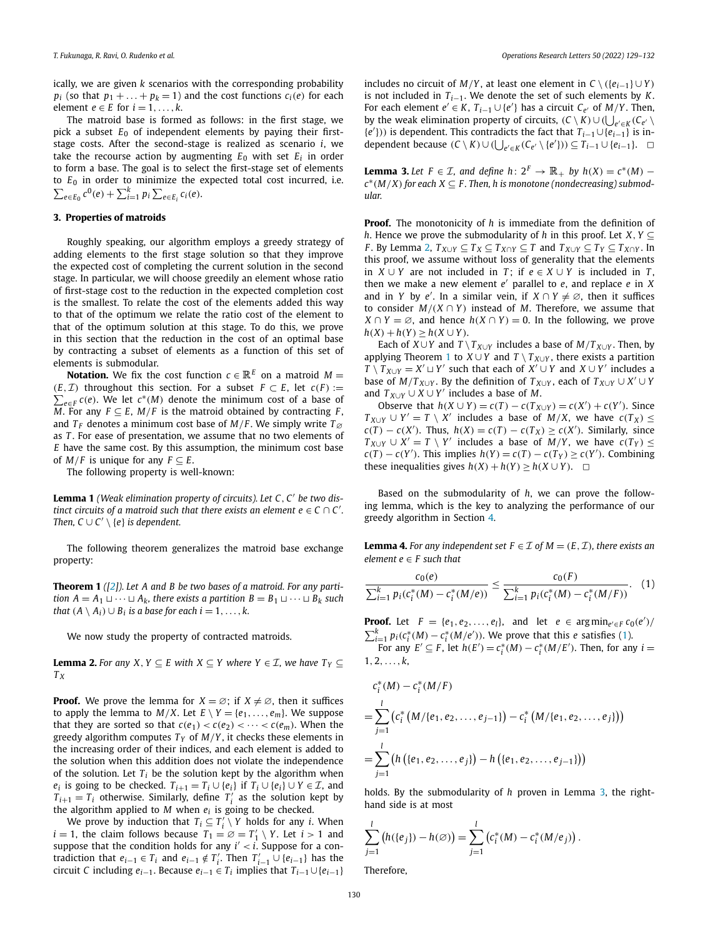<span id="page-1-0"></span>ically, we are given *k* scenarios with the corresponding probability *p<sub>i</sub>* (so that  $p_1 + \ldots + p_k = 1$ ) and the cost functions  $c_i(e)$  for each element  $e \in E$  for  $i = 1, \ldots, k$ .

The matroid base is formed as follows: in the first stage, we pick a subset  $E_0$  of independent elements by paying their firststage costs. After the second-stage is realized as scenario *i*, we take the recourse action by augmenting  $E_0$  with set  $E_i$  in order to form a base. The goal is to select the first-stage set of elements to  $E_0$  in order to minimize the expected total cost incurred, i.e.  $\sum_{e \in E_0} c^0(e) + \sum_{i=1}^k p_i \sum_{e \in E_i} c_i(e)$ .

#### **3. Properties of matroids**

Roughly speaking, our algorithm employs a greedy strategy of adding elements to the first stage solution so that they improve the expected cost of completing the current solution in the second stage. In particular, we will choose greedily an element whose ratio of first-stage cost to the reduction in the expected completion cost is the smallest. To relate the cost of the elements added this way to that of the optimum we relate the ratio cost of the element to that of the optimum solution at this stage. To do this, we prove in this section that the reduction in the cost of an optimal base by contracting a subset of elements as a function of this set of elements is submodular.

**Notation.** We fix the cost function  $c \in \mathbb{R}^E$  on a matroid  $M =$  $\sum_{e \in F} c(e)$ . We let  $c^*(M)$  denote the minimum cost of a base of *(E, T)* throughout this section. For a subset  $F ⊂ E$ , let  $c(F) :=$ *M*. For any  $F \subseteq E$ , *M*/*F* is the matroid obtained by contracting *F*, and  $T_F$  denotes a minimum cost base of  $M/F$ . We simply write  $T_{\emptyset}$ as *T* . For ease of presentation, we assume that no two elements of *E* have the same cost. By this assumption, the minimum cost base of  $M/F$  is unique for any  $F \subseteq E$ .

The following property is well-known:

**Lemma 1** *(Weak elimination property of circuits). Let C, C be two distinct circuits of a matroid such that there exists an element*  $e \in C \cap C'$ *. Then,*  $C \cup C' \setminus \{e\}$  *is dependent.* 

The following theorem generalizes the matroid base exchange property:

**Theorem 1** *([[2](#page-3-0)]). Let A and B be two bases of a matroid. For any partition*  $A = A_1 \sqcup \cdots \sqcup A_k$ , *there exists a partition*  $B = B_1 \sqcup \cdots \sqcup B_k$  *such that*  $(A \setminus A_i) \cup B_i$  *is a base for each*  $i = 1, \ldots, k$ .

We now study the property of contracted matroids.

**Lemma 2.** For any *X*, *Y* ⊆ *E* with *X* ⊆ *Y* where *Y* ∈ *I*, we have  $T_Y$  ⊆ *T <sup>X</sup>*

**Proof.** We prove the lemma for  $X = \emptyset$ ; if  $X \neq \emptyset$ , then it suffices to apply the lemma to  $M/X$ . Let  $E \setminus Y = \{e_1, \ldots, e_m\}$ . We suppose that they are sorted so that  $c(e_1) < c(e_2) < \cdots < c(e_m)$ . When the greedy algorithm computes  $T_Y$  of  $M/Y$ , it checks these elements in the increasing order of their indices, and each element is added to the solution when this addition does not violate the independence of the solution. Let  $T_i$  be the solution kept by the algorithm when *e<sub>i</sub>* is going to be checked.  $T_{i+1} = T_i \cup \{e_i\}$  if  $T_i \cup \{e_i\} \cup Y \in \mathcal{I}$ , and  $T_{i+1} = T_i$  otherwise. Similarly, define  $T'_i$  as the solution kept by the algorithm applied to  $M$  when  $e_i$  is going to be checked.

We prove by induction that  $T_i \subseteq T'_i \setminus Y$  holds for any *i*. When  $i = 1$ , the claim follows because  $T_1 = \emptyset = T'_1 \setminus Y$ . Let  $i > 1$  and suppose that the condition holds for any  $i' < i$ . Suppose for a contradiction that  $e_{i-1} \in T_i$  and  $e_{i-1} \notin T'_i$ . Then  $T'_{i-1} \cup \{e_{i-1}\}\)$  has the circuit *C* including  $e_{i-1}$ . Because  $e_{i-1} \in T_i$  implies that  $T_{i-1} \cup \{e_{i-1}\}\$  includes no circuit of *M/Y* , at least one element in *C* \ *(*{*ei*−1} ∪ *Y )* is not included in  $T_{i-1}$ . We denote the set of such elements by *K*. For each element  $e' \in K$ ,  $T_{i-1} \cup \{e'\}$  has a circuit  $C_{e'}$  of  $M/Y$ . Then, by the weak elimination property of circuits,  $(C \setminus K) \cup (\bigcup_{e' \in K} (C_{e'} \setminus$ {*e* }*))* is dependent. This contradicts the fact that *Ti*−1∪{*ei*−1} is independent because  $(C \setminus K) \cup (\bigcup_{e' \in K} (C_{e'} \setminus \{e'\})) \subseteq T_{i-1} \cup \{e_{i-1}\}.$  □

**Lemma 3.** Let  $F \in \mathcal{I}$ , and define  $h: 2^F \rightarrow \mathbb{R}_+$  by  $h(X) = c^*(M)$  −  $c^*(M/X)$  for each  $X \subseteq F$ . Then, h is monotone (nondecreasing) submod*ular.*

**Proof.** The monotonicity of *h* is immediate from the definition of *h*. Hence we prove the submodularity of *h* in this proof. Let *X, Y* ⊆ *F*. By Lemma 2,  $T_{X\cup Y} \subseteq T_X \subseteq T_{X\cap Y} \subseteq T$  and  $T_{X\cup Y} \subseteq T_Y \subseteq T_{X\cap Y}$ . In this proof, we assume without loss of generality that the elements in *X* ∪ *Y* are not included in *T* ; if *e* ∈ *X* ∪ *Y* is included in *T* , then we make a new element  $e'$  parallel to  $e$ , and replace  $e$  in  $X$ and in *Y* by *e'*. In a similar vein, if  $X \cap Y \neq \emptyset$ , then it suffices to consider  $M/(X \cap Y)$  instead of M. Therefore, we assume that *X* ∩ *Y* = ∅, and hence  $h(X ∩ Y) = 0$ . In the following, we prove *h*(*X*) + *h*(*Y*) ≥ *h*(*X* ∪ *Y*).

Each of *X*∪*Y* and *T*  $\setminus T_{X\cup Y}$  includes a base of *M*/*T*<sub>*X*∪*Y*</sub>. Then, by applying Theorem 1 to  $X \cup Y$  and  $T \setminus T_{X \cup Y}$ , there exists a partition *T*  $\setminus$  *T*<sub>*X*∪*Y* = *X'*  $\cup$  *Y'* such that each of *X'*  $\cup$  *Y* and *X*  $\cup$  *Y'* includes a</sub> base of  $M/T_{X\cup Y}$ . By the definition of  $T_{X\cup Y}$ , each of  $T_{X\cup Y} \cup X' \cup Y$ and  $T_{X\cup Y} \cup X \cup Y'$  includes a base of *M*.

Observe that  $h(X \cup Y) = c(T) - c(T_{X \cup Y}) = c(X') + c(Y')$ . Since *T*<sub>*X*∪*Y*</sub> ∪ *Y*′ = *T*  $\setminus$  *X*′ includes a base of *M*/*X*, we have *c*(*T*<sub>*X*</sub>) ≤  $c(T) - c(X')$ . Thus,  $h(X) = c(T) - c(T_X) \ge c(X')$ . Similarly, since *T*<sub>*X*∪*Y*</sub> ∪ *X'* = *T*  $\setminus$  *Y'* includes a base of *M/Y*, we have *c*(*T*<sub>*Y*</sub>) ≤  $c(T) - c(Y')$ . This implies  $h(Y) = c(T) - c(T_Y) \ge c(Y')$ . Combining **these inequalities gives**  $h(X) + h(Y) ≥ h(X ∪ Y)$ .  $□$ 

Based on the submodularity of *h*, we can prove the following lemma, which is the key to analyzing the performance of our greedy algorithm in Section [4](#page-2-0).

**Lemma 4.** For any independent set  $F \in \mathcal{I}$  of  $M = (E, \mathcal{I})$ , there exists an *element*  $e \in F$  *such that* 

$$
\frac{c_0(e)}{\sum_{i=1}^k p_i(c_i^*(M) - c_i^*(M/e))} \le \frac{c_0(F)}{\sum_{i=1}^k p_i(c_i^*(M) - c_i^*(M/F))}.
$$
 (1)

**Proof.** Let  $F = \{e_1, e_2, \dots, e_l\}$ , and let  $e \in \arg \min_{e' \in F} c_0(e')/e'$  $\sum_{i=1}^{k} p_i(c_i^*(M) - c_i^*(M/e'))$ . We prove that this *e* satisfies (1).

For any  $E' \subseteq F$ , let  $h(E') = c_i^*(M) - c_i^*(M/E')$ . Then, for any  $i =$ 1*,* 2*,...,k*,

$$
c_i^*(M) - c_i^*(M/F)
$$
  
=  $\sum_{j=1}^l (c_i^*(M/(e_1, e_2, ..., e_{j-1})) - c_i^*(M/(e_1, e_2, ..., e_j)))$   
=  $\sum_{j=1}^l (h((e_1, e_2, ..., e_j)) - h((e_1, e_2, ..., e_{j-1})))$ 

holds. By the submodularity of *h* proven in Lemma 3, the righthand side is at most

$$
\sum_{j=1}^{l} (h({e_j}) - h(\emptyset)) = \sum_{j=1}^{l} (c_i^*(M) - c_i^*(M/e_j)).
$$

Therefore,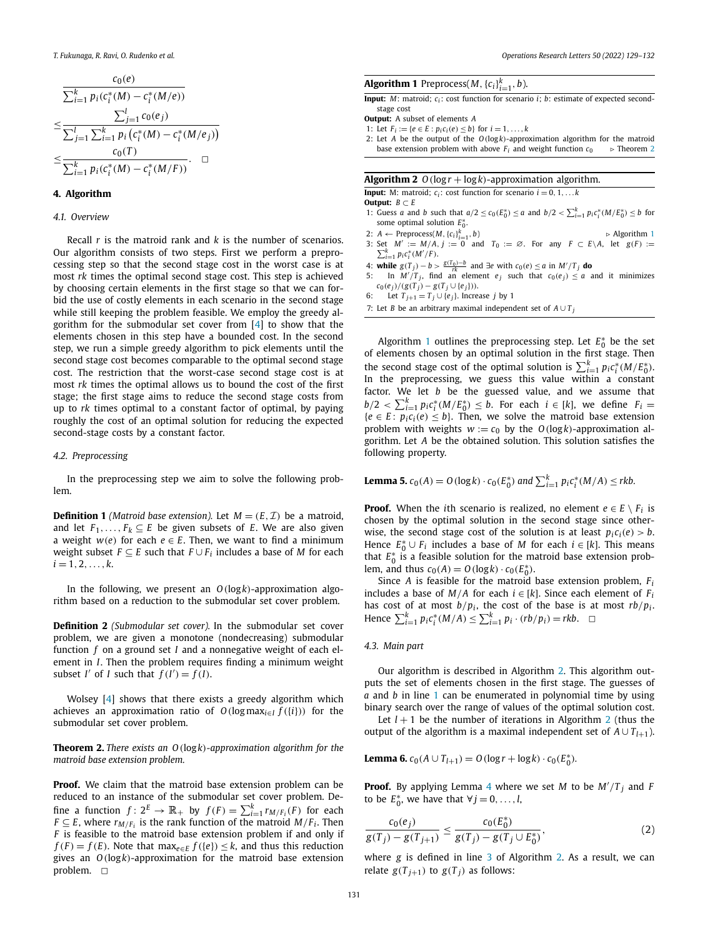<span id="page-2-0"></span>
$$
\frac{c_0(e)}{\sum_{i=1}^k p_i(c_i^*(M) - c_i^*(M/e))}
$$
\n
$$
\leq \frac{\sum_{j=1}^l c_0(e_j)}{\sum_{j=1}^l \sum_{i=1}^k p_i(c_i^*(M) - c_i^*(M/e_j))}
$$
\n
$$
\leq \frac{c_0(T)}{\sum_{i=1}^k p_i(c_i^*(M) - c_i^*(M/F))}.\square
$$

#### **4. Algorithm**

#### *4.1. Overview*

Recall *r* is the matroid rank and *k* is the number of scenarios. Our algorithm consists of two steps. First we perform a preprocessing step so that the second stage cost in the worst case is at most *rk* times the optimal second stage cost. This step is achieved by choosing certain elements in the first stage so that we can forbid the use of costly elements in each scenario in the second stage while still keeping the problem feasible. We employ the greedy algorithm for the submodular set cover from [[4\]](#page-3-0) to show that the elements chosen in this step have a bounded cost. In the second step, we run a simple greedy algorithm to pick elements until the second stage cost becomes comparable to the optimal second stage cost. The restriction that the worst-case second stage cost is at most *rk* times the optimal allows us to bound the cost of the first stage; the first stage aims to reduce the second stage costs from up to *rk* times optimal to a constant factor of optimal, by paying roughly the cost of an optimal solution for reducing the expected second-stage costs by a constant factor.

#### *4.2. Preprocessing*

In the preprocessing step we aim to solve the following problem.

**Definition 1** *(Matroid base extension).* Let  $M = (E, \mathcal{I})$  be a matroid, and let  $F_1, \ldots, F_k \subseteq E$  be given subsets of *E*. We are also given a weight  $w(e)$  for each  $e \in E$ . Then, we want to find a minimum weight subset  $F \subseteq E$  such that  $F \cup F_i$  includes a base of *M* for each  $i = 1, 2, \ldots, k$ .

In the following, we present an *O(*log*k)*-approximation algorithm based on a reduction to the submodular set cover problem.

**Definition 2** *(Submodular set cover).* In the submodular set cover problem, we are given a monotone (nondecreasing) submodular function *f* on a ground set *I* and a nonnegative weight of each element in *I*. Then the problem requires finding a minimum weight subset *I'* of *I* such that  $f(I') = f(I)$ .

Wolsey [\[4\]](#page-3-0) shows that there exists a greedy algorithm which achieves an approximation ratio of  $O(\log \max_{i \in I} f({i})$  for the submodular set cover problem.

**Theorem 2.** *There exists an O(*log*k)-approximation algorithm for the matroid base extension problem.*

**Proof.** We claim that the matroid base extension problem can be reduced to an instance of the submodular set cover problem. Define a function  $f: 2^E \to \mathbb{R}_+$  by  $f(F) = \sum_{i=1}^k r_{M/F_i}(F)$  for each *F*  $\subseteq$  *E*, where  $r_{M/F_i}$  is the rank function of the matroid  $M/F_i$ . Then *F* is feasible to the matroid base extension problem if and only if *f* (*F*) = *f* (*E*). Note that max<sub>*e*∈*E*</sub> *f* ({*e*}) ≤ *k*, and thus this reduction gives an *O(*log*k)*-approximation for the matroid base extension problem.  $\Box$ 

## **Algorithm 1** Preprocess(*M*,  ${c_i}_{i=1}^k$ , *b*).

**Input:** *M*: matroid; *c*<sub>i</sub>: cost function for scenario *i*; *b*: estimate of expected secondstage cost

2: Let *A* be the output of the *O(*log*k)*-approximation algorithm for the matroid base extension problem with above  $F_i$  and weight function  $c_0$   $\rightarrow$  Theorem 2

#### **Algorithm 2**  $O(\log r + \log k)$ -approximation algorithm.

**Input:** M: matroid;  $c_i$ : cost function for scenario  $i = 0, 1, ...$ 

**Output:**  $B \subset E$ 

- 1: Guess a and b such that  $a/2 \le c_0(E_0^*) \le a$  and  $b/2 < \sum_{i=1}^k p_i c_i^* (M/E_0^*) \le b$  for some optimal solution  $E_0^*$ .
- 2:  $A \leftarrow$  Preprocess(*M,* { $c_i$ }<sup>*k*</sup></sup> 2: *A* ← Preprocess(*M*, { $c_i$ <sub>*i*<sup>2</sup><sub>i</sub>=1</sub>, *b*)  $\rightarrow$  Algorithm 1<br>3: Set *M*<sup>*/*</sup>/*E*  $\rightarrow$  *J*<sup>*k*</sup>  $\rightarrow$  *nc*<sup>\*</sup>*(M/E*) := 0 and *T*<sub>0</sub> := ∅. For any *F* ⊂ *E*\*A*, let *g*(*F*) :=
- $\sum_{i=1}^{k} p_i c_i^* (M'/F)$ .
- 4: **while**  $g(T_j) b > \frac{g(T_0) b}{rk}$  and  $\exists e$  with  $c_0(e) \le a$  in  $M'/T_j$  do
- 5: In  $M'/T_j$ , find an element  $e_j$  such that  $c_0(e_j) \le a$  and it minimizes  $c_0(e_j)/(g(T_j) - g(T_j \cup \{e_j\})$ .
- 6: Let  $T_{j+1} = T_j \cup \{e_j\}$ . Increase *j* by 1
- 7: Let *B* be an arbitrary maximal independent set of  $A ∪ T_i$

Algorithm 1 outlines the preprocessing step. Let  $E_0^*$  be the set of elements chosen by an optimal solution in the first stage. Then the second stage cost of the optimal solution is  $\sum_{i=1}^{k} p_i c_i^* (M/E_0^*)$ . In the preprocessing, we guess this value within a constant factor. We let *b* be the guessed value, and we assume that  $b/2 < \sum_{i=1}^{k} p_i c_i^* (M/E_0^*) \leq b$ . For each  $i \in [k]$ , we define  $F_i =$  ${e \in E : p_i c_i(e) \leq b}$ . Then, we solve the matroid base extension problem with weights  $w := c_0$  by the  $O(log k)$ -approximation algorithm. Let *A* be the obtained solution. This solution satisfies the following property.

**Lemma 5.** 
$$
c_0(A) = O(\log k) \cdot c_0(E_0^*)
$$
 and  $\sum_{i=1}^k p_i c_i^*(M/A) \leq rkb$ .

**Proof.** When the *i*th scenario is realized, no element  $e \in E \setminus F_i$  is chosen by the optimal solution in the second stage since otherwise, the second stage cost of the solution is at least  $p_i c_i(e) > b$ . Hence  $E_0^* \cup F_i$  includes a base of *M* for each  $i \in [k]$ . This means that  $E_0^*$  is a feasible solution for the matroid base extension problem, and thus  $c_0(A) = O(\log k) \cdot c_0(E_0^*)$ .

Since *A* is feasible for the matroid base extension problem, *Fi* includes a base of  $M/A$  for each  $i \in [k]$ . Since each element of  $F_i$ has cost of at most  $b/p_i$ , the cost of the base is at most  $rb/p_i$ . *Hence*  $\sum_{i=1}^{k} p_i c_i^*(M/A) \le \sum_{i=1}^{k} p_i \cdot (rb/p_i) = rkb.$  □

#### *4.3. Main part*

Our algorithm is described in Algorithm 2. This algorithm outputs the set of elements chosen in the first stage. The guesses of *a* and *b* in line 1 can be enumerated in polynomial time by using binary search over the range of values of the optimal solution cost.

Let  $l + 1$  be the number of iterations in Algorithm 2 (thus the output of the algorithm is a maximal independent set of  $A \cup T_{l+1}$ ).

**Lemma 6.**  $c_0(A \cup T_{l+1}) = O(\log r + \log k) \cdot c_0(E_0^*)$ .

**Proof.** By applying Lemma [4](#page-1-0) where we set *M* to be *M /T <sup>j</sup>* and *F* to be  $E_0^*$ , we have that  $\forall j = 0, \ldots, l$ ,

$$
\frac{c_0(e_j)}{g(T_j) - g(T_{j+1})} \le \frac{c_0(E_0^*)}{g(T_j) - g(T_j \cup E_0^*)},\tag{2}
$$

where *g* is defined in line 3 of Algorithm 2. As a result, we can relate  $g(T_{i+1})$  to  $g(T_i)$  as follows:

**Output:** A subset of elements *A*

<sup>1:</sup> Let  $F_i := \{e \in E : p_i c_i(e) \leq b\}$  for  $i = 1, ..., k$